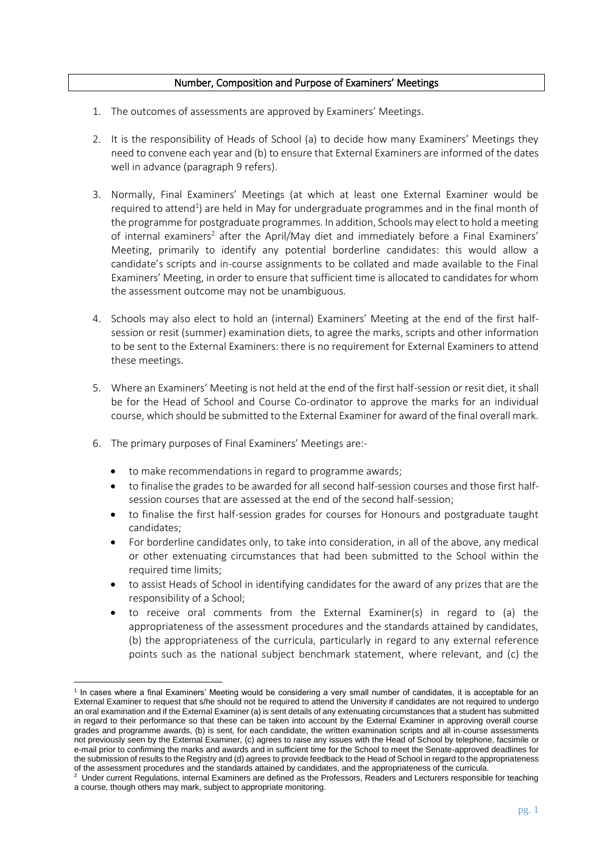## Number, Composition and Purpose of Examiners' Meetings

- 1. The outcomes of assessments are approved by Examiners' Meetings.
- 2. It is the responsibility of Heads of School (a) to decide how many Examiners' Meetings they need to convene each year and (b) to ensure that External Examiners are informed of the dates well in advance (paragraph 9 refers).
- 3. Normally, Final Examiners' Meetings (at which at least one External Examiner would be required to attend<sup>1</sup>) are held in May for undergraduate programmes and in the final month of the programme for postgraduate programmes. In addition, Schools may elect to hold a meeting of internal examiners<sup>2</sup> after the April/May diet and immediately before a Final Examiners' Meeting, primarily to identify any potential borderline candidates: this would allow a candidate's scripts and in-course assignments to be collated and made available to the Final Examiners' Meeting, in order to ensure that sufficient time is allocated to candidates for whom the assessment outcome may not be unambiguous.
- 4. Schools may also elect to hold an (internal) Examiners' Meeting at the end of the first halfsession or resit (summer) examination diets, to agree the marks, scripts and other information to be sent to the External Examiners: there is no requirement for External Examiners to attend these meetings.
- 5. Where an Examiners' Meeting is not held at the end of the first half-session or resit diet, it shall be for the Head of School and Course Co-ordinator to approve the marks for an individual course, which should be submitted to the External Examiner for award of the final overall mark.
- 6. The primary purposes of Final Examiners' Meetings are:-

1

- to make recommendations in regard to programme awards;
- to finalise the grades to be awarded for all second half-session courses and those first halfsession courses that are assessed at the end of the second half-session;
- to finalise the first half-session grades for courses for Honours and postgraduate taught candidates;
- For borderline candidates only, to take into consideration, in all of the above, any medical or other extenuating circumstances that had been submitted to the School within the required time limits;
- to assist Heads of School in identifying candidates for the award of any prizes that are the responsibility of a School;
- to receive oral comments from the External Examiner(s) in regard to (a) the appropriateness of the assessment procedures and the standards attained by candidates, (b) the appropriateness of the curricula, particularly in regard to any external reference points such as the national subject benchmark statement, where relevant, and (c) the

<sup>1</sup> In cases where a final Examiners' Meeting would be considering a very small number of candidates, it is acceptable for an External Examiner to request that s/he should not be required to attend the University if candidates are not required to undergo an oral examination and if the External Examiner (a) is sent details of any extenuating circumstances that a student has submitted in regard to their performance so that these can be taken into account by the External Examiner in approving overall course grades and programme awards, (b) is sent, for each candidate, the written examination scripts and all in-course assessments not previously seen by the External Examiner, (c) agrees to raise any issues with the Head of School by telephone, facsimile or e-mail prior to confirming the marks and awards and in sufficient time for the School to meet the Senate-approved deadlines for the submission of results to the Registry and (d) agrees to provide feedback to the Head of School in regard to the appropriateness

of the assessment procedures and the standards attained by candidates, and the appropriateness of the curricula.<br><sup>2</sup> Under current Regulations, internal Examiners are defined as the Professors, Readers and Lecturers respon a course, though others may mark, subject to appropriate monitoring.